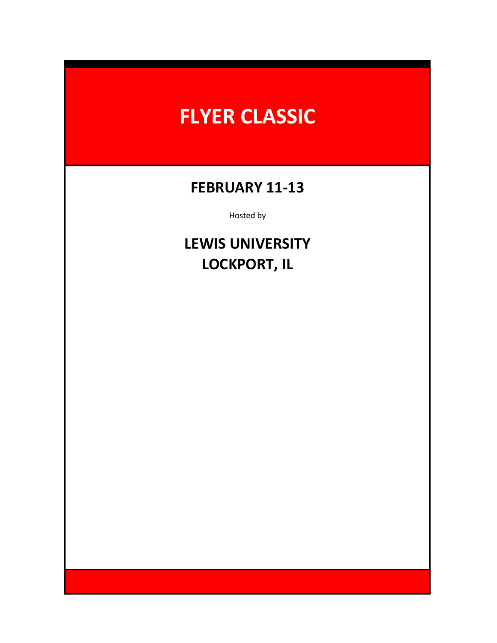# **FLYER CLASSIC**

### **FEBRUARY 11-13**

Hosted by

## **LOCKPORT, IL LEWIS UNIVERSITY**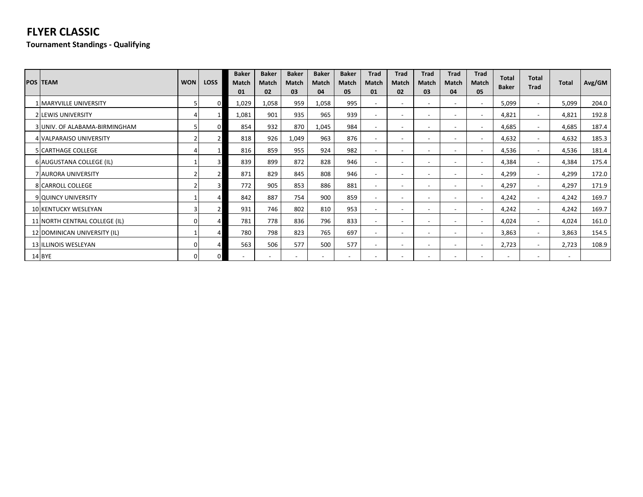### **FLYER CLASSIC**

**Tournament Standings - Qualifying**

| <b>POS TEAM</b>               | <b>WON</b> | <b>LOSS</b> | <b>Baker</b><br>Match<br>01 | <b>Baker</b><br><b>Match</b><br>02 | <b>Baker</b><br>Match<br>03 | <b>Baker</b><br>Match<br>04 | <b>Baker</b><br>Match<br>05 | Trad<br>Match<br>01      | Trad<br>Match<br>02      | Trad<br><b>Match</b><br>03 | Trad<br>Match<br>04      | Trad<br><b>Match</b><br>05 | <b>Total</b><br><b>Baker</b> | <b>Total</b><br><b>Trad</b> | <b>Total</b>             | Avg/GM |
|-------------------------------|------------|-------------|-----------------------------|------------------------------------|-----------------------------|-----------------------------|-----------------------------|--------------------------|--------------------------|----------------------------|--------------------------|----------------------------|------------------------------|-----------------------------|--------------------------|--------|
| 1 MARYVILLE UNIVERSITY        |            |             | 1,029                       | 1,058                              | 959                         | 1,058                       | 995                         |                          | $\overline{\phantom{a}}$ | $\overline{\phantom{a}}$   | $\overline{\phantom{a}}$ | $\overline{\phantom{a}}$   | 5,099                        | $\overline{\phantom{0}}$    | 5,099                    | 204.0  |
| 2 LEWIS UNIVERSITY            |            |             | 1,081                       | 901                                | 935                         | 965                         | 939                         |                          | $\overline{\phantom{a}}$ | $\overline{\phantom{a}}$   | $\overline{\phantom{a}}$ | $\overline{\phantom{a}}$   | 4,821                        | $\overline{\phantom{0}}$    | 4,821                    | 192.8  |
| 3 UNIV. OF ALABAMA-BIRMINGHAM |            |             | 854                         | 932                                | 870                         | 1,045                       | 984                         |                          | $\overline{\phantom{a}}$ | $\overline{\phantom{a}}$   | $\overline{\phantom{a}}$ | $\overline{\phantom{a}}$   | 4,685                        | $\overline{\phantom{0}}$    | 4,685                    | 187.4  |
| 4 VALPARAISO UNIVERSITY       |            |             | 818                         | 926                                | 1,049                       | 963                         | 876                         |                          | $\overline{\phantom{0}}$ |                            |                          | $\overline{\phantom{a}}$   | 4,632                        | $\overline{\phantom{0}}$    | 4,632                    | 185.3  |
| <b>5 CARTHAGE COLLEGE</b>     |            |             | 816                         | 859                                | 955                         | 924                         | 982                         | $\overline{\phantom{0}}$ | $\overline{\phantom{a}}$ | $\overline{\phantom{a}}$   | $\overline{\phantom{a}}$ | $\overline{\phantom{a}}$   | 4,536                        | $\overline{\phantom{a}}$    | 4,536                    | 181.4  |
| 6 AUGUSTANA COLLEGE (IL)      |            | 3           | 839                         | 899                                | 872                         | 828                         | 946                         |                          | $\overline{\phantom{a}}$ | $\overline{\phantom{a}}$   | $\overline{\phantom{a}}$ | $\overline{\phantom{a}}$   | 4,384                        | $\overline{\phantom{0}}$    | 4,384                    | 175.4  |
| 7 AURORA UNIVERSITY           |            |             | 871                         | 829                                | 845                         | 808                         | 946                         |                          | $\overline{\phantom{a}}$ | $\overline{\phantom{a}}$   |                          | $\overline{\phantom{a}}$   | 4,299                        | $\overline{\phantom{0}}$    | 4,299                    | 172.0  |
| 8 CARROLL COLLEGE             |            |             | 772                         | 905                                | 853                         | 886                         | 881                         |                          | $\overline{\phantom{a}}$ | $\overline{\phantom{a}}$   | $\overline{\phantom{a}}$ | $\overline{\phantom{a}}$   | 4,297                        | $\overline{\phantom{0}}$    | 4,297                    | 171.9  |
| 9 QUINCY UNIVERSITY           |            |             | 842                         | 887                                | 754                         | 900                         | 859                         |                          | $\overline{\phantom{a}}$ | $\overline{\phantom{a}}$   | $\overline{\phantom{a}}$ | $\overline{\phantom{a}}$   | 4,242                        | $\overline{\phantom{a}}$    | 4,242                    | 169.7  |
| 10 KENTUCKY WESLEYAN          |            |             | 931                         | 746                                | 802                         | 810                         | 953                         |                          | $\overline{\phantom{a}}$ | $\overline{\phantom{a}}$   | $\overline{\phantom{a}}$ | $\overline{\phantom{a}}$   | 4,242                        | $\overline{\phantom{0}}$    | 4,242                    | 169.7  |
| 11 NORTH CENTRAL COLLEGE (IL) |            |             | 781                         | 778                                | 836                         | 796                         | 833                         |                          | $\overline{\phantom{a}}$ | $\overline{\phantom{a}}$   | $\overline{\phantom{a}}$ | $\overline{\phantom{a}}$   | 4,024                        | $\overline{\phantom{0}}$    | 4,024                    | 161.0  |
| 12 DOMINICAN UNIVERSITY (IL)  |            |             | 780                         | 798                                | 823                         | 765                         | 697                         | $\overline{\phantom{a}}$ | $\overline{\phantom{a}}$ | $\overline{\phantom{a}}$   | $\overline{\phantom{a}}$ | $\overline{\phantom{a}}$   | 3,863                        | $\overline{\phantom{0}}$    | 3,863                    | 154.5  |
| 13 ILLINOIS WESLEYAN          |            |             | 563                         | 506                                | 577                         | 500                         | 577                         |                          | $\overline{\phantom{a}}$ | $\overline{\phantom{a}}$   | $\overline{\phantom{a}}$ | $\overline{\phantom{a}}$   | 2,723                        | $\overline{\phantom{a}}$    | 2,723                    | 108.9  |
| 14 BYE                        |            |             |                             |                                    |                             |                             | $\overline{\phantom{0}}$    |                          | $\overline{\phantom{a}}$ |                            |                          | $\overline{\phantom{a}}$   |                              |                             | $\overline{\phantom{0}}$ |        |